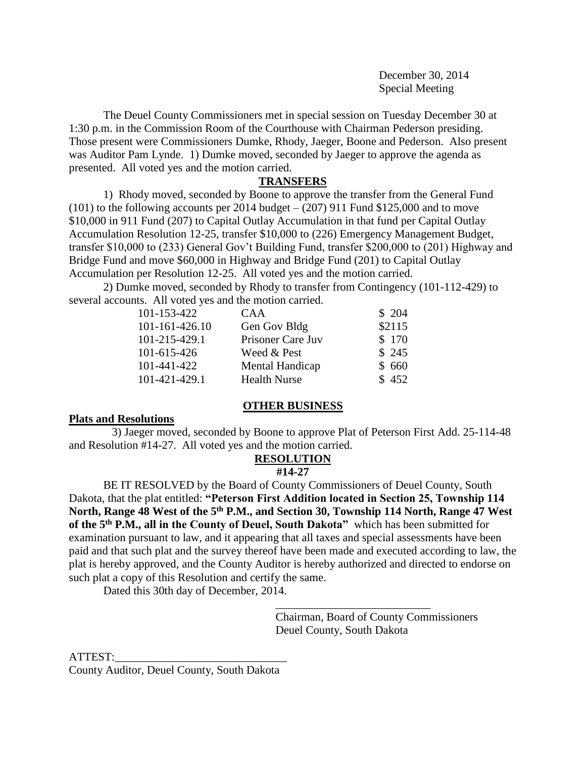December 30, 2014 Special Meeting

The Deuel County Commissioners met in special session on Tuesday December 30 at 1:30 p.m. in the Commission Room of the Courthouse with Chairman Pederson presiding. Those present were Commissioners Dumke, Rhody, Jaeger, Boone and Pederson. Also present was Auditor Pam Lynde. 1) Dumke moved, seconded by Jaeger to approve the agenda as presented. All voted yes and the motion carried.

## **TRANSFERS**

1) Rhody moved, seconded by Boone to approve the transfer from the General Fund  $(101)$  to the following accounts per 2014 budget –  $(207)$  911 Fund \$125,000 and to move \$10,000 in 911 Fund (207) to Capital Outlay Accumulation in that fund per Capital Outlay Accumulation Resolution 12-25, transfer \$10,000 to (226) Emergency Management Budget, transfer \$10,000 to (233) General Gov't Building Fund, transfer \$200,000 to (201) Highway and Bridge Fund and move \$60,000 in Highway and Bridge Fund (201) to Capital Outlay Accumulation per Resolution 12-25. All voted yes and the motion carried.

2) Dumke moved, seconded by Rhody to transfer from Contingency (101-112-429) to several accounts. All voted yes and the motion carried.

| 101-153-422    | CAA                 | \$204  |
|----------------|---------------------|--------|
| 101-161-426.10 | Gen Gov Bldg        | \$2115 |
| 101-215-429.1  | Prisoner Care Juv   | \$170  |
| 101-615-426    | Weed & Pest         | \$245  |
| 101-441-422    | Mental Handicap     | \$660  |
| 101-421-429.1  | <b>Health Nurse</b> | \$452  |

## **OTHER BUSINESS**

## **Plats and Resolutions**

 3) Jaeger moved, seconded by Boone to approve Plat of Peterson First Add. 25-114-48 and Resolution #14-27. All voted yes and the motion carried.

# **RESOLUTION**

## **#14-27**

BE IT RESOLVED by the Board of County Commissioners of Deuel County, South Dakota, that the plat entitled: **"Peterson First Addition located in Section 25, Township 114 North, Range 48 West of the 5th P.M., and Section 30, Township 114 North, Range 47 West of the 5th P.M., all in the County of Deuel, South Dakota"** which has been submitted for examination pursuant to law, and it appearing that all taxes and special assessments have been paid and that such plat and the survey thereof have been made and executed according to law, the plat is hereby approved, and the County Auditor is hereby authorized and directed to endorse on such plat a copy of this Resolution and certify the same.

Dated this 30th day of December, 2014.

Chairman, Board of County Commissioners Deuel County, South Dakota

\_\_\_\_\_\_\_\_\_\_\_\_\_\_\_\_\_\_\_\_\_\_\_\_\_\_\_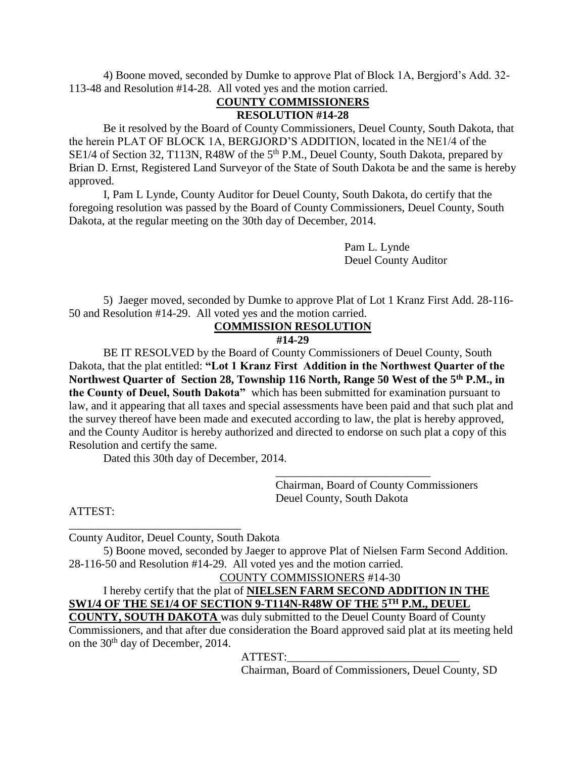4) Boone moved, seconded by Dumke to approve Plat of Block 1A, Bergjord's Add. 32- 113-48 and Resolution #14-28. All voted yes and the motion carried.

## **COUNTY COMMISSIONERS RESOLUTION #14-28**

Be it resolved by the Board of County Commissioners, Deuel County, South Dakota, that the herein PLAT OF BLOCK 1A, BERGJORD'S ADDITION, located in the NE1/4 of the SE1/4 of Section 32, T113N, R48W of the 5<sup>th</sup> P.M., Deuel County, South Dakota, prepared by Brian D. Ernst, Registered Land Surveyor of the State of South Dakota be and the same is hereby approved.

I, Pam L Lynde, County Auditor for Deuel County, South Dakota, do certify that the foregoing resolution was passed by the Board of County Commissioners, Deuel County, South Dakota, at the regular meeting on the 30th day of December, 2014.

> Pam L. Lynde Deuel County Auditor

5) Jaeger moved, seconded by Dumke to approve Plat of Lot 1 Kranz First Add. 28-116- 50 and Resolution #14-29. All voted yes and the motion carried.

## **COMMISSION RESOLUTION**

#### **#14-29**

BE IT RESOLVED by the Board of County Commissioners of Deuel County, South Dakota, that the plat entitled: **"Lot 1 Kranz First Addition in the Northwest Quarter of the Northwest Quarter of Section 28, Township 116 North, Range 50 West of the 5th P.M., in the County of Deuel, South Dakota"** which has been submitted for examination pursuant to law, and it appearing that all taxes and special assessments have been paid and that such plat and the survey thereof have been made and executed according to law, the plat is hereby approved, and the County Auditor is hereby authorized and directed to endorse on such plat a copy of this Resolution and certify the same.

Dated this 30th day of December, 2014.

Chairman, Board of County Commissioners Deuel County, South Dakota

\_\_\_\_\_\_\_\_\_\_\_\_\_\_\_\_\_\_\_\_\_\_\_\_\_\_\_

ATTEST:

County Auditor, Deuel County, South Dakota

\_\_\_\_\_\_\_\_\_\_\_\_\_\_\_\_\_\_\_\_\_\_\_\_\_\_\_\_\_\_

5) Boone moved, seconded by Jaeger to approve Plat of Nielsen Farm Second Addition. 28-116-50 and Resolution #14-29. All voted yes and the motion carried.

COUNTY COMMISSIONERS #14-30

I hereby certify that the plat of **NIELSEN FARM SECOND ADDITION IN THE SW1/4 OF THE SE1/4 OF SECTION 9-T114N-R48W OF THE 5TH P.M., DEUEL** 

**COUNTY, SOUTH DAKOTA** was duly submitted to the Deuel County Board of County Commissioners, and that after due consideration the Board approved said plat at its meeting held on the 30<sup>th</sup> day of December, 2014.

ATTEST:

Chairman, Board of Commissioners, Deuel County, SD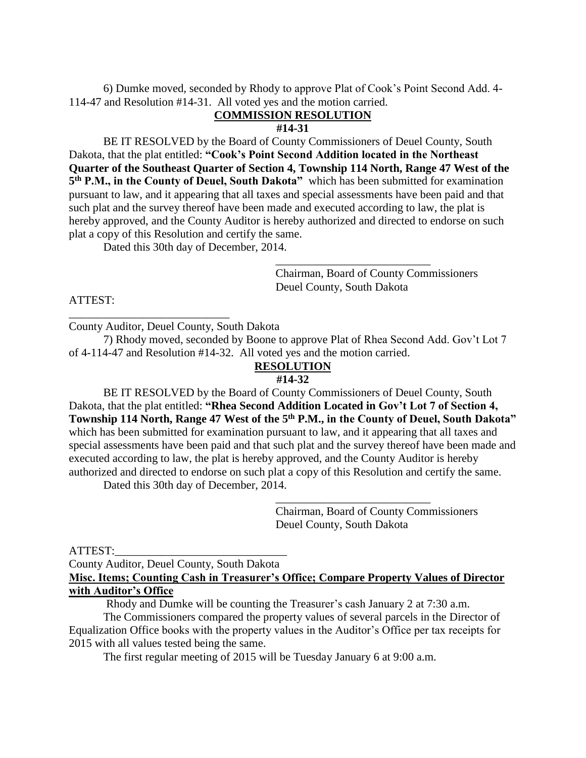6) Dumke moved, seconded by Rhody to approve Plat of Cook's Point Second Add. 4- 114-47 and Resolution #14-31. All voted yes and the motion carried.

## **COMMISSION RESOLUTION**

#### **#14-31**

BE IT RESOLVED by the Board of County Commissioners of Deuel County, South Dakota, that the plat entitled: **"Cook's Point Second Addition located in the Northeast Quarter of the Southeast Quarter of Section 4, Township 114 North, Range 47 West of the**  5<sup>th</sup> **P.M., in the County of Deuel, South Dakota**" which has been submitted for examination pursuant to law, and it appearing that all taxes and special assessments have been paid and that such plat and the survey thereof have been made and executed according to law, the plat is hereby approved, and the County Auditor is hereby authorized and directed to endorse on such plat a copy of this Resolution and certify the same.

Dated this 30th day of December, 2014.

Chairman, Board of County Commissioners Deuel County, South Dakota

\_\_\_\_\_\_\_\_\_\_\_\_\_\_\_\_\_\_\_\_\_\_\_\_\_\_\_

## ATTEST:

County Auditor, Deuel County, South Dakota

\_\_\_\_\_\_\_\_\_\_\_\_\_\_\_\_\_\_\_\_\_\_\_\_\_\_\_\_

7) Rhody moved, seconded by Boone to approve Plat of Rhea Second Add. Gov't Lot 7 of 4-114-47 and Resolution #14-32. All voted yes and the motion carried.

# **RESOLUTION**

#### **#14-32**

BE IT RESOLVED by the Board of County Commissioners of Deuel County, South Dakota, that the plat entitled: **"Rhea Second Addition Located in Gov't Lot 7 of Section 4, Township 114 North, Range 47 West of the 5th P.M., in the County of Deuel, South Dakota"**  which has been submitted for examination pursuant to law, and it appearing that all taxes and special assessments have been paid and that such plat and the survey thereof have been made and executed according to law, the plat is hereby approved, and the County Auditor is hereby authorized and directed to endorse on such plat a copy of this Resolution and certify the same.

Dated this 30th day of December, 2014.

Chairman, Board of County Commissioners Deuel County, South Dakota

\_\_\_\_\_\_\_\_\_\_\_\_\_\_\_\_\_\_\_\_\_\_\_\_\_\_\_

#### ATTEST:

County Auditor, Deuel County, South Dakota **Misc. Items; Counting Cash in Treasurer's Office; Compare Property Values of Director with Auditor's Office**

Rhody and Dumke will be counting the Treasurer's cash January 2 at 7:30 a.m.

The Commissioners compared the property values of several parcels in the Director of Equalization Office books with the property values in the Auditor's Office per tax receipts for 2015 with all values tested being the same.

The first regular meeting of 2015 will be Tuesday January 6 at 9:00 a.m.